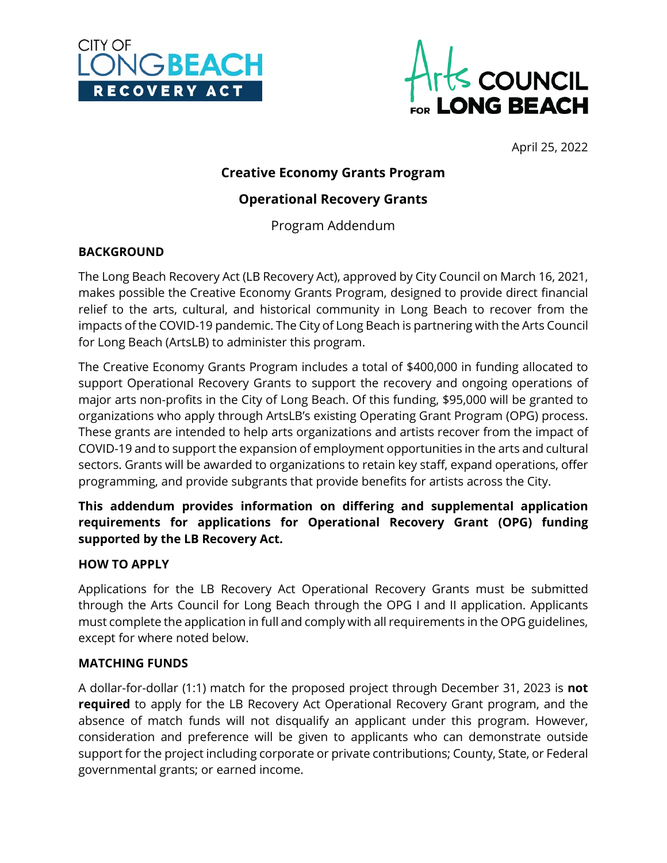



April 25, 2022

# **Creative Economy Grants Program**

# **Operational Recovery Grants**

Program Addendum

### **BACKGROUND**

The Long Beach Recovery Act (LB Recovery Act), approved by City Council on March 16, 2021, makes possible the Creative Economy Grants Program, designed to provide direct financial relief to the arts, cultural, and historical community in Long Beach to recover from the impacts of the COVID-19 pandemic. The City of Long Beach is partnering with the Arts Council for Long Beach (ArtsLB) to administer this program.

The Creative Economy Grants Program includes a total of \$400,000 in funding allocated to support Operational Recovery Grants to support the recovery and ongoing operations of major arts non-profits in the City of Long Beach. Of this funding, \$95,000 will be granted to organizations who apply through ArtsLB's existing Operating Grant Program (OPG) process. These grants are intended to help arts organizations and artists recover from the impact of COVID-19 and to support the expansion of employment opportunities in the arts and cultural sectors. Grants will be awarded to organizations to retain key staff, expand operations, offer programming, and provide subgrants that provide benefits for artists across the City.

**This addendum provides information on differing and supplemental application requirements for applications for Operational Recovery Grant (OPG) funding supported by the LB Recovery Act.**

### **HOW TO APPLY**

Applications for the LB Recovery Act Operational Recovery Grants must be submitted through the Arts Council for Long Beach through the OPG I and II application. Applicants must complete the application in full and comply with all requirements in the OPG guidelines, except for where noted below.

### **MATCHING FUNDS**

A dollar-for-dollar (1:1) match for the proposed project through December 31, 2023 is **not required** to apply for the LB Recovery Act Operational Recovery Grant program, and the absence of match funds will not disqualify an applicant under this program. However, consideration and preference will be given to applicants who can demonstrate outside support for the project including corporate or private contributions; County, State, or Federal governmental grants; or earned income.